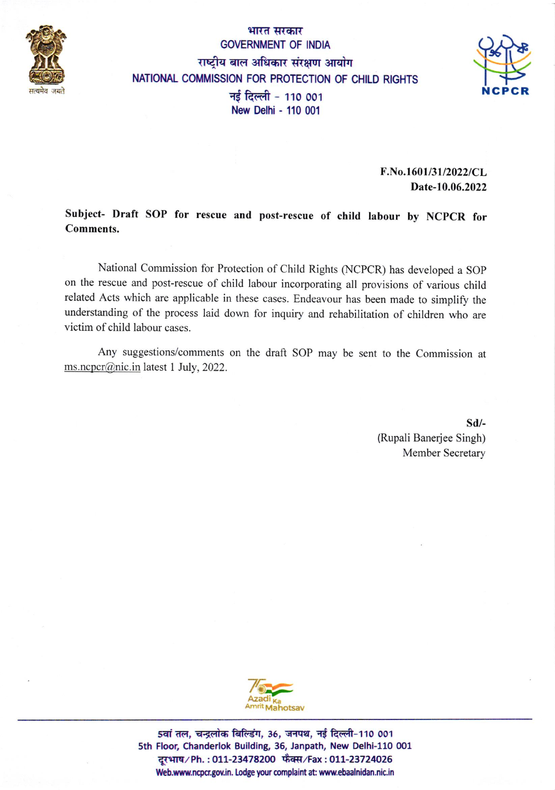

### भारत सरकार GOVERNMENT OF INDIA राष्ट्रीय बाल अधिकार संरक्षण आयोग NATIONAL COMMISSION FOR PROTECTION OF CHILD RIGHTS नई दिल्ली - 110 001 New Delhi - 110 001



F.No.1601/31/2022/CL Date-10.06.2022

Subject- Draft SOP for rescue and post-rescue of child labour by NCPCR for Comments.

National Commission for Protection of Child Rights (NCPCR) has developed a SOP on the rescue and post-rescue of child labour incorporating all provisions of various child related Acts which are applicable in these cases. Endeavour has been made to simplify the understanding of the process laid down for inquiry and rehabilitation of children who are victim of child labour cases.

Any suggestions/comments on the draft SOP may be sent to the Commission at ms.ncpcr@nic.in latest 1 July, 2022.

> sd/- (Rupali Banerjee Singh) Member Secretary



5वां तल, चन्द्रलोक बिल्डिंग, 36, जनपथ, नई दिल्ली-110 001 sth Floor, Chanderlok Building, 35, Janpath, New Delhi-110 0o1 दरभाष/Ph.: 011-23478200 फैक्स/Fax: 011-23724026 Web.www.ncpcr.gov.in. Lodge your complaint at: www.ebaalnidan.nic.in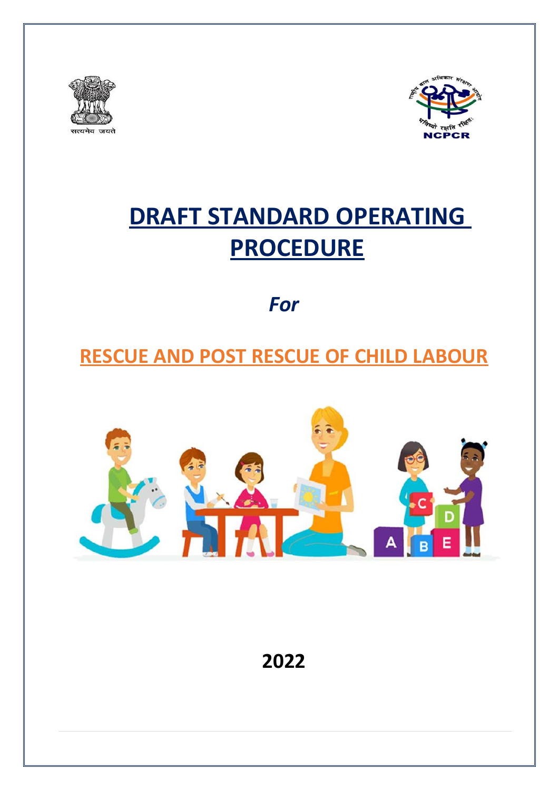



# **DRAFT STANDARD OPERATING PROCEDURE**

*For*

## **RESCUE AND POST RESCUE OF CHILD LABOUR**



**2022**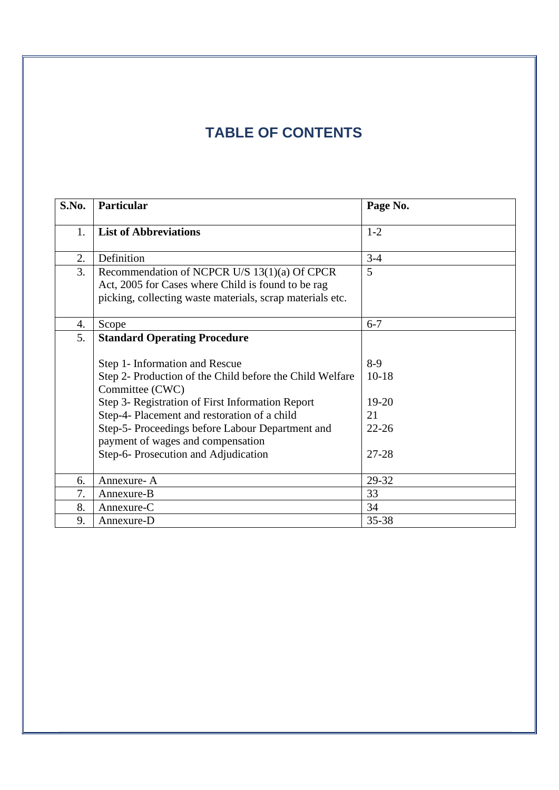### **TABLE OF CONTENTS**

| S.No. | Particular                                                | Page No.  |
|-------|-----------------------------------------------------------|-----------|
| 1.    | <b>List of Abbreviations</b>                              | $1 - 2$   |
|       |                                                           |           |
| 2.    | Definition                                                | $3-4$     |
| 3.    | Recommendation of NCPCR U/S 13(1)(a) Of CPCR              | 5         |
|       | Act, 2005 for Cases where Child is found to be rag        |           |
|       | picking, collecting waste materials, scrap materials etc. |           |
|       |                                                           |           |
| 4.    | Scope                                                     | $6 - 7$   |
| 5.    | <b>Standard Operating Procedure</b>                       |           |
|       |                                                           |           |
|       | Step 1- Information and Rescue                            | $8-9$     |
|       | Step 2- Production of the Child before the Child Welfare  | $10-18$   |
|       | Committee (CWC)                                           |           |
|       | Step 3- Registration of First Information Report          | $19 - 20$ |
|       | Step-4- Placement and restoration of a child              | 21        |
|       | Step-5- Proceedings before Labour Department and          | $22 - 26$ |
|       | payment of wages and compensation                         |           |
|       | Step-6- Prosecution and Adjudication                      | $27 - 28$ |
|       |                                                           |           |
| 6.    | Annexure-A                                                | 29-32     |
| 7.    | Annexure-B                                                | 33        |
| 8.    | Annexure-C                                                | 34        |
| 9.    | Annexure-D                                                | 35-38     |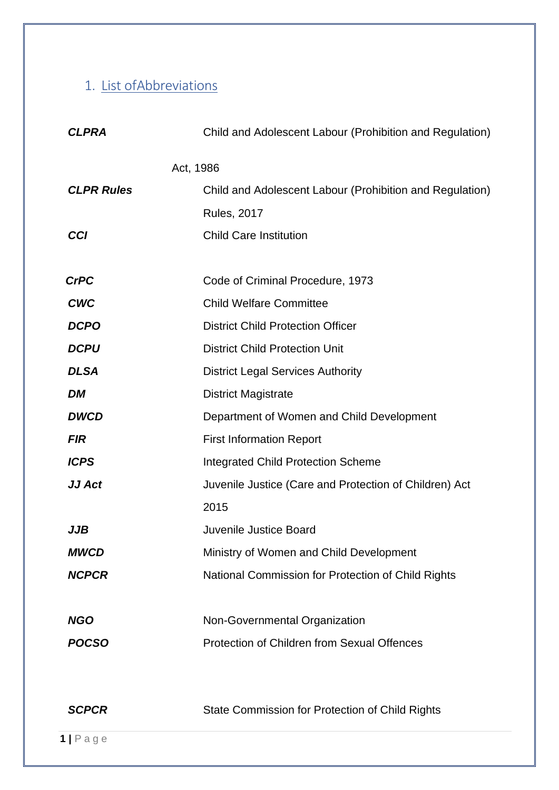## 1. List ofAbbreviations

| <b>CLPRA</b>      | Child and Adolescent Labour (Prohibition and Regulation) |  |
|-------------------|----------------------------------------------------------|--|
|                   | Act, 1986                                                |  |
| <b>CLPR Rules</b> | Child and Adolescent Labour (Prohibition and Regulation) |  |
|                   | <b>Rules, 2017</b>                                       |  |
| <b>CCI</b>        | <b>Child Care Institution</b>                            |  |
|                   |                                                          |  |
| <b>CrPC</b>       | Code of Criminal Procedure, 1973                         |  |
| <b>CWC</b>        | <b>Child Welfare Committee</b>                           |  |
| <b>DCPO</b>       | <b>District Child Protection Officer</b>                 |  |
| <b>DCPU</b>       | <b>District Child Protection Unit</b>                    |  |
| <b>DLSA</b>       | <b>District Legal Services Authority</b>                 |  |
| <b>DM</b>         | <b>District Magistrate</b>                               |  |
| <b>DWCD</b>       | Department of Women and Child Development                |  |
| <b>FIR</b>        | <b>First Information Report</b>                          |  |
| <b>ICPS</b>       | <b>Integrated Child Protection Scheme</b>                |  |
| JJ Act            | Juvenile Justice (Care and Protection of Children) Act   |  |
|                   | 2015                                                     |  |
| JJB               | Juvenile Justice Board                                   |  |
| <b>MWCD</b>       | Ministry of Women and Child Development                  |  |
| <b>NCPCR</b>      | National Commission for Protection of Child Rights       |  |
|                   |                                                          |  |
| <b>NGO</b>        | Non-Governmental Organization                            |  |
| <b>POCSO</b>      | <b>Protection of Children from Sexual Offences</b>       |  |
|                   |                                                          |  |
| <b>SCPCR</b>      | State Commission for Protection of Child Rights          |  |
| $1$   Page        |                                                          |  |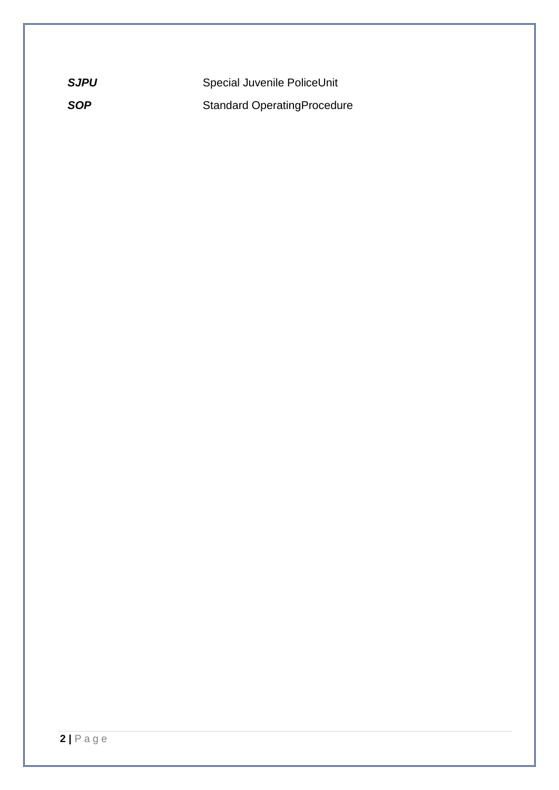| <b>SJPU</b> | Special Juvenile PoliceUnit        |
|-------------|------------------------------------|
| <b>SOP</b>  | <b>Standard OperatingProcedure</b> |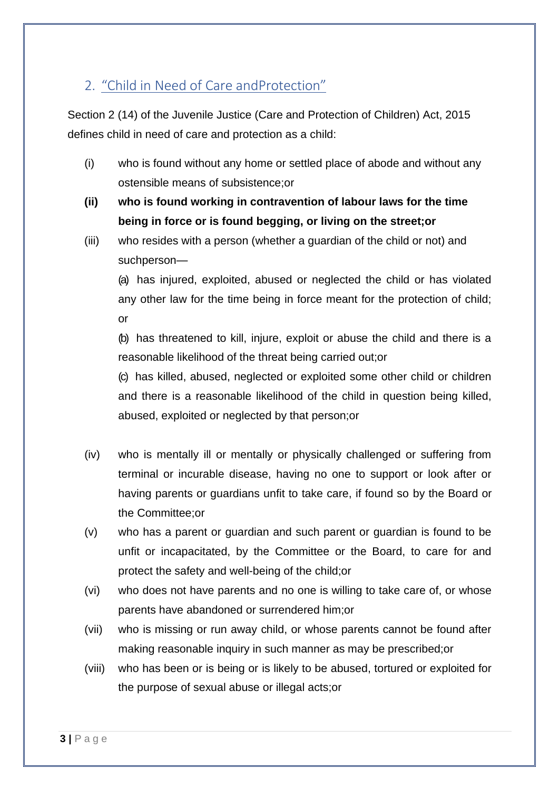### 2. "Child in Need of Care andProtection"

Section 2 (14) of the Juvenile Justice (Care and Protection of Children) Act, 2015 defines child in need of care and protection as a child:

- (i) who is found without any home or settled place of abode and without any ostensible means of subsistence;or
- **(ii) who is found working in contravention of labour laws for the time being in force or is found begging, or living on the street;or**
- (iii) who resides with a person (whether a guardian of the child or not) and suchperson—

(a) has injured, exploited, abused or neglected the child or has violated any other law for the time being in force meant for the protection of child; or

(b) has threatened to kill, injure, exploit or abuse the child and there is a reasonable likelihood of the threat being carried out;or

(c) has killed, abused, neglected or exploited some other child or children and there is a reasonable likelihood of the child in question being killed, abused, exploited or neglected by that person;or

- (iv) who is mentally ill or mentally or physically challenged or suffering from terminal or incurable disease, having no one to support or look after or having parents or guardians unfit to take care, if found so by the Board or the Committee;or
- (v) who has a parent or guardian and such parent or guardian is found to be unfit or incapacitated, by the Committee or the Board, to care for and protect the safety and well-being of the child;or
- (vi) who does not have parents and no one is willing to take care of, or whose parents have abandoned or surrendered him;or
- (vii) who is missing or run away child, or whose parents cannot be found after making reasonable inquiry in such manner as may be prescribed;or
- (viii) who has been or is being or is likely to be abused, tortured or exploited for the purpose of sexual abuse or illegal acts;or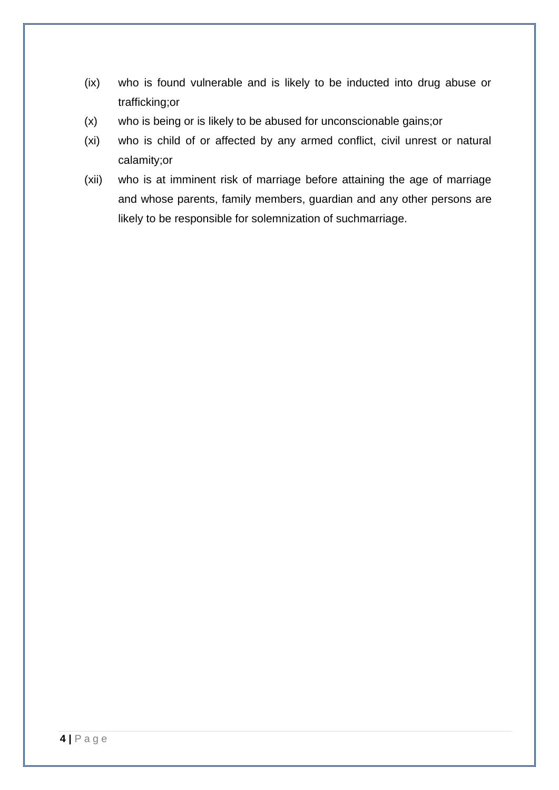- (ix) who is found vulnerable and is likely to be inducted into drug abuse or trafficking;or
- (x) who is being or is likely to be abused for unconscionable gains;or
- (xi) who is child of or affected by any armed conflict, civil unrest or natural calamity;or
- (xii) who is at imminent risk of marriage before attaining the age of marriage and whose parents, family members, guardian and any other persons are likely to be responsible for solemnization of suchmarriage.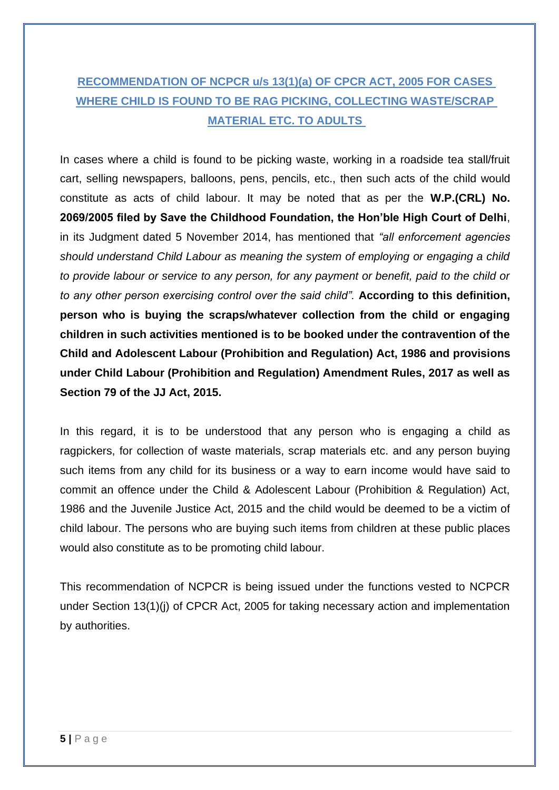### **RECOMMENDATION OF NCPCR u/s 13(1)(a) OF CPCR ACT, 2005 FOR CASES WHERE CHILD IS FOUND TO BE RAG PICKING, COLLECTING WASTE/SCRAP MATERIAL ETC. TO ADULTS**

In cases where a child is found to be picking waste, working in a roadside tea stall/fruit cart, selling newspapers, balloons, pens, pencils, etc., then such acts of the child would constitute as acts of child labour. It may be noted that as per the **W.P.(CRL) No. 2069/2005 filed by Save the Childhood Foundation, the Hon'ble High Court of Delhi**, in its Judgment dated 5 November 2014, has mentioned that *"all enforcement agencies should understand Child Labour as meaning the system of employing or engaging a child to provide labour or service to any person, for any payment or benefit, paid to the child or to any other person exercising control over the said child".* **According to this definition, person who is buying the scraps/whatever collection from the child or engaging children in such activities mentioned is to be booked under the contravention of the Child and Adolescent Labour (Prohibition and Regulation) Act, 1986 and provisions under Child Labour (Prohibition and Regulation) Amendment Rules, 2017 as well as Section 79 of the JJ Act, 2015.**

In this regard, it is to be understood that any person who is engaging a child as ragpickers, for collection of waste materials, scrap materials etc. and any person buying such items from any child for its business or a way to earn income would have said to commit an offence under the Child & Adolescent Labour (Prohibition & Regulation) Act, 1986 and the Juvenile Justice Act, 2015 and the child would be deemed to be a victim of child labour. The persons who are buying such items from children at these public places would also constitute as to be promoting child labour.

This recommendation of NCPCR is being issued under the functions vested to NCPCR under Section 13(1)(j) of CPCR Act, 2005 for taking necessary action and implementation by authorities.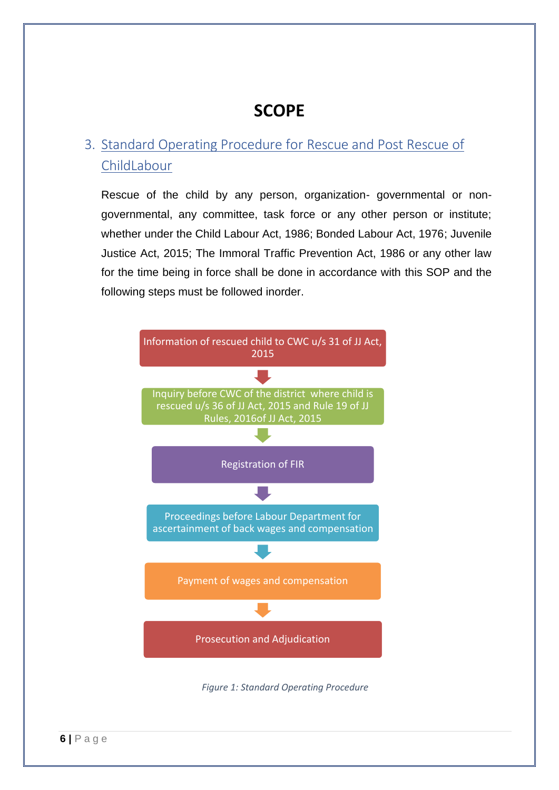## **SCOPE**

### 3. Standard Operating Procedure for Rescue and Post Rescue of ChildLabour

Rescue of the child by any person, organization- governmental or nongovernmental, any committee, task force or any other person or institute; whether under the Child Labour Act, 1986; Bonded Labour Act, 1976; Juvenile Justice Act, 2015; The Immoral Traffic Prevention Act, 1986 or any other law for the time being in force shall be done in accordance with this SOP and the following steps must be followed inorder.

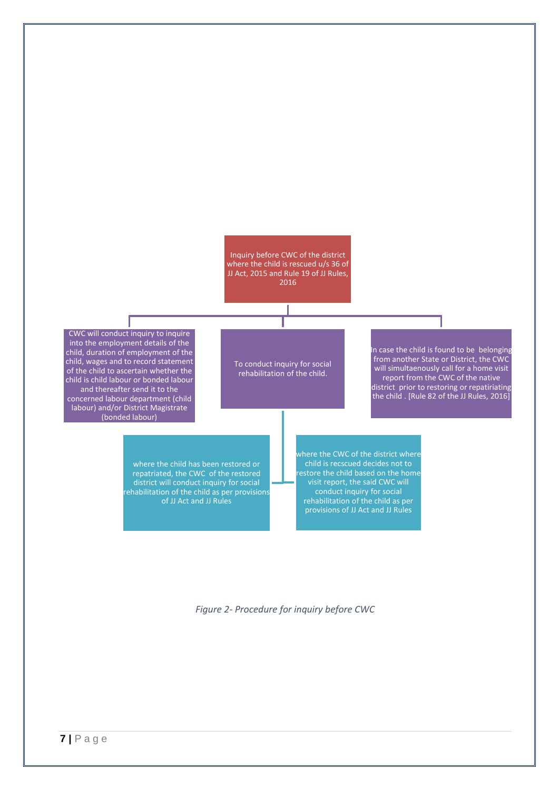Inquiry before CWC of the district where the child is rescued u/s 36 of JJ Act, 2015 and Rule 19 of JJ Rules, 2016

CWC will conduct inquiry to inquire into the employment details of the child, duration of employment of the child, wages and to record statement of the child to ascertain whether the child is child labour or bonded labour and thereafter send it to the concerned labour department (child labour) and/or District Magistrate (bonded labour)

To conduct inquiry for social rehabilitation of the child.

In case the child is found to be belonging from another State or District, the CWC will simultaenously call for a home visit report from the CWC of the native district prior to restoring or repatiriating the child . [Rule 82 of the JJ Rules, 2016]

where the child has been restored or repatriated, the CWC of the restored district will conduct inquiry for social rehabilitation of the child as per provisions of JJ Act and JJ Rules

where the CWC of the district where child is recscued decides not to restore the child based on the home visit report, the said CWC will conduct inquiry for social rehabilitation of the child as per provisions of JJ Act and JJ Rules

*Figure 2- Procedure for inquiry before CWC*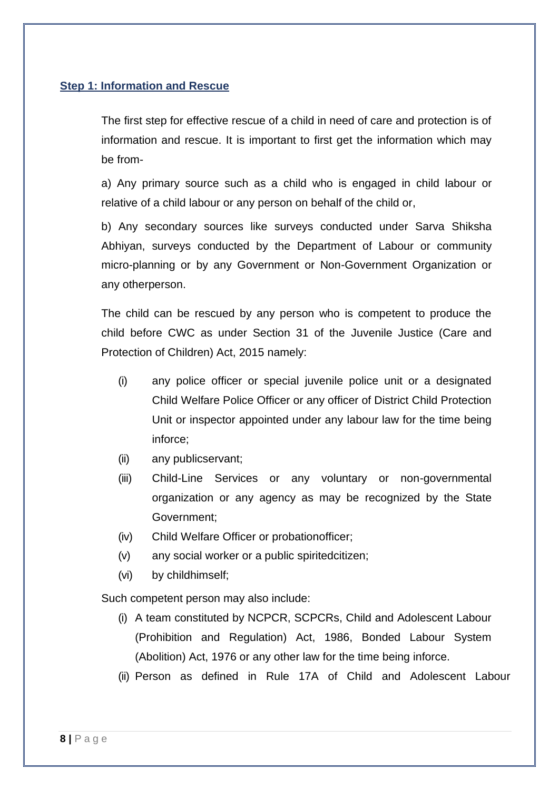### **Step 1: Information and Rescue**

The first step for effective rescue of a child in need of care and protection is of information and rescue. It is important to first get the information which may be from-

a) Any primary source such as a child who is engaged in child labour or relative of a child labour or any person on behalf of the child or,

b) Any secondary sources like surveys conducted under Sarva Shiksha Abhiyan, surveys conducted by the Department of Labour or community micro-planning or by any Government or Non-Government Organization or any otherperson.

The child can be rescued by any person who is competent to produce the child before CWC as under Section 31 of the Juvenile Justice (Care and Protection of Children) Act, 2015 namely:

- (i) any police officer or special juvenile police unit or a designated Child Welfare Police Officer or any officer of District Child Protection Unit or inspector appointed under any labour law for the time being inforce;
- (ii) any publicservant;
- (iii) Child-Line Services or any voluntary or non-governmental organization or any agency as may be recognized by the State Government;
- (iv) Child Welfare Officer or probationofficer;
- (v) any social worker or a public spiritedcitizen;
- (vi) by childhimself;

Such competent person may also include:

- (i) A team constituted by NCPCR, SCPCRs, Child and Adolescent Labour (Prohibition and Regulation) Act, 1986, Bonded Labour System (Abolition) Act, 1976 or any other law for the time being inforce.
- (ii) Person as defined in Rule 17A of Child and Adolescent Labour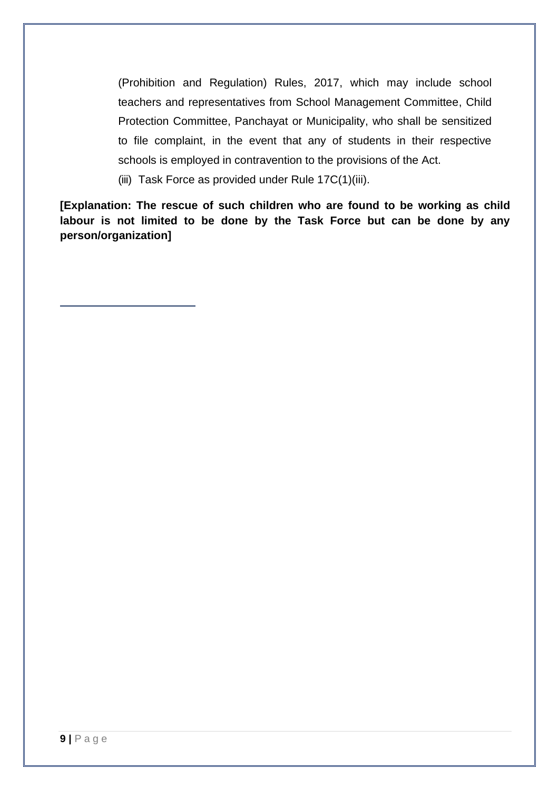(Prohibition and Regulation) Rules, 2017, which may include school teachers and representatives from School Management Committee, Child Protection Committee, Panchayat or Municipality, who shall be sensitized to file complaint, in the event that any of students in their respective schools is employed in contravention to the provisions of the Act.

(iii) Task Force as provided under Rule 17C(1)(iii).

**[Explanation: The rescue of such children who are found to be working as child labour is not limited to be done by the Task Force but can be done by any person/organization]**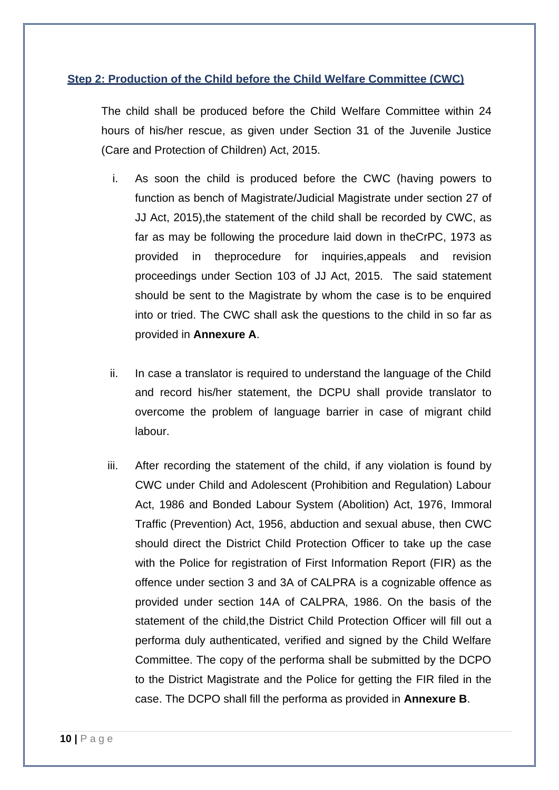### **Step 2: Production of the Child before the Child Welfare Committee (CWC)**

The child shall be produced before the Child Welfare Committee within 24 hours of his/her rescue, as given under Section 31 of the Juvenile Justice (Care and Protection of Children) Act, 2015.

- i. As soon the child is produced before the CWC (having powers to function as bench of Magistrate/Judicial Magistrate under section 27 of JJ Act, 2015),the statement of the child shall be recorded by CWC, as far as may be following the procedure laid down in theCrPC, 1973 as provided in theprocedure for inquiries,appeals and revision proceedings under Section 103 of JJ Act, 2015. The said statement should be sent to the Magistrate by whom the case is to be enquired into or tried. The CWC shall ask the questions to the child in so far as provided in **Annexure A**.
- ii. In case a translator is required to understand the language of the Child and record his/her statement, the DCPU shall provide translator to overcome the problem of language barrier in case of migrant child labour.
- iii. After recording the statement of the child, if any violation is found by CWC under Child and Adolescent (Prohibition and Regulation) Labour Act, 1986 and Bonded Labour System (Abolition) Act, 1976, Immoral Traffic (Prevention) Act, 1956, abduction and sexual abuse, then CWC should direct the District Child Protection Officer to take up the case with the Police for registration of First Information Report (FIR) as the offence under section 3 and 3A of CALPRA is a cognizable offence as provided under section 14A of CALPRA, 1986. On the basis of the statement of the child,the District Child Protection Officer will fill out a performa duly authenticated, verified and signed by the Child Welfare Committee. The copy of the performa shall be submitted by the DCPO to the District Magistrate and the Police for getting the FIR filed in the case. The DCPO shall fill the performa as provided in **Annexure B**.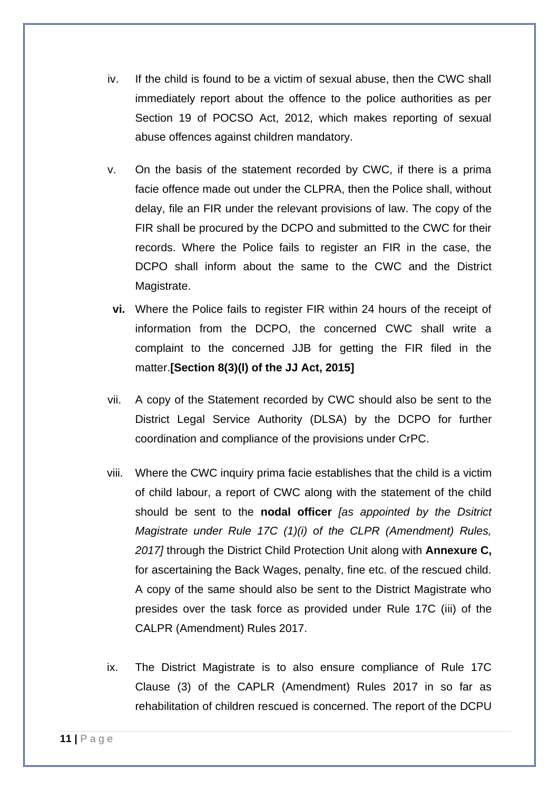- iv. If the child is found to be a victim of sexual abuse, then the CWC shall immediately report about the offence to the police authorities as per Section 19 of POCSO Act, 2012, which makes reporting of sexual abuse offences against children mandatory.
- v. On the basis of the statement recorded by CWC, if there is a prima facie offence made out under the CLPRA, then the Police shall, without delay, file an FIR under the relevant provisions of law. The copy of the FIR shall be procured by the DCPO and submitted to the CWC for their records. Where the Police fails to register an FIR in the case, the DCPO shall inform about the same to the CWC and the District Magistrate.
- **vi.** Where the Police fails to register FIR within 24 hours of the receipt of information from the DCPO, the concerned CWC shall write a complaint to the concerned JJB for getting the FIR filed in the matter.**[Section 8(3)(l) of the JJ Act, 2015]**
- vii. A copy of the Statement recorded by CWC should also be sent to the District Legal Service Authority (DLSA) by the DCPO for further coordination and compliance of the provisions under CrPC.
- viii. Where the CWC inquiry prima facie establishes that the child is a victim of child labour, a report of CWC along with the statement of the child should be sent to the **nodal officer** *[as appointed by the Dsitrict Magistrate under Rule 17C (1)(i) of the CLPR (Amendment) Rules, 2017]* through the District Child Protection Unit along with **Annexure C,** for ascertaining the Back Wages, penalty, fine etc. of the rescued child. A copy of the same should also be sent to the District Magistrate who presides over the task force as provided under Rule 17C (iii) of the CALPR (Amendment) Rules 2017.
- ix. The District Magistrate is to also ensure compliance of Rule 17C Clause (3) of the CAPLR (Amendment) Rules 2017 in so far as rehabilitation of children rescued is concerned. The report of the DCPU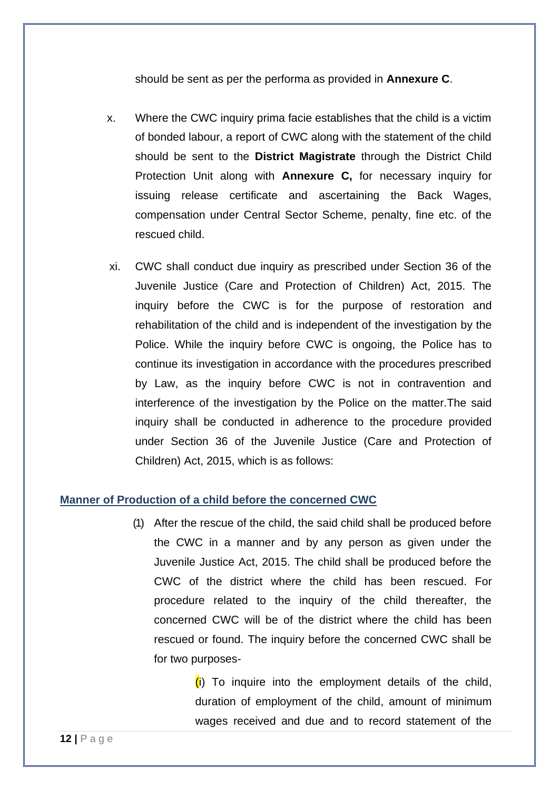should be sent as per the performa as provided in **Annexure C**.

- x. Where the CWC inquiry prima facie establishes that the child is a victim of bonded labour, a report of CWC along with the statement of the child should be sent to the **District Magistrate** through the District Child Protection Unit along with **Annexure C,** for necessary inquiry for issuing release certificate and ascertaining the Back Wages, compensation under Central Sector Scheme, penalty, fine etc. of the rescued child.
- xi. CWC shall conduct due inquiry as prescribed under Section 36 of the Juvenile Justice (Care and Protection of Children) Act, 2015. The inquiry before the CWC is for the purpose of restoration and rehabilitation of the child and is independent of the investigation by the Police. While the inquiry before CWC is ongoing, the Police has to continue its investigation in accordance with the procedures prescribed by Law, as the inquiry before CWC is not in contravention and interference of the investigation by the Police on the matter.The said inquiry shall be conducted in adherence to the procedure provided under Section 36 of the Juvenile Justice (Care and Protection of Children) Act, 2015, which is as follows:

### **Manner of Production of a child before the concerned CWC**

(1) After the rescue of the child, the said child shall be produced before the CWC in a manner and by any person as given under the Juvenile Justice Act, 2015. The child shall be produced before the CWC of the district where the child has been rescued. For procedure related to the inquiry of the child thereafter, the concerned CWC will be of the district where the child has been rescued or found. The inquiry before the concerned CWC shall be for two purposes-

> $(i)$  To inquire into the employment details of the child, duration of employment of the child, amount of minimum wages received and due and to record statement of the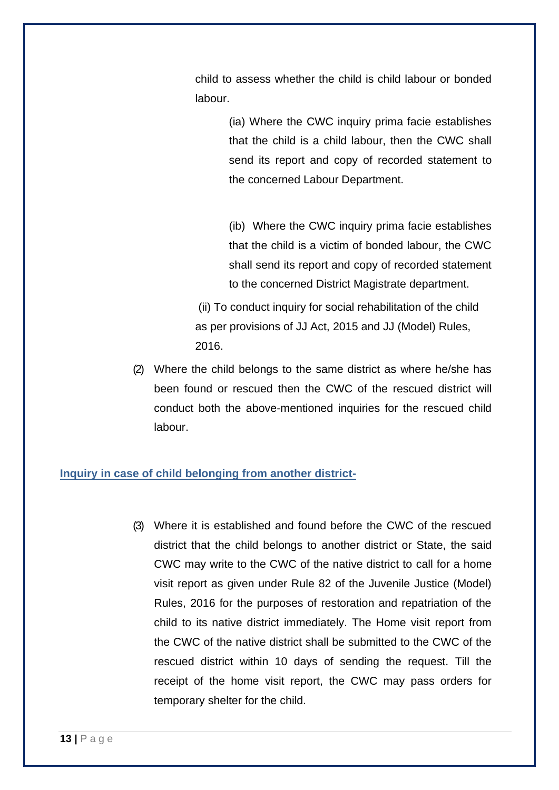child to assess whether the child is child labour or bonded labour.

> (ia) Where the CWC inquiry prima facie establishes that the child is a child labour, then the CWC shall send its report and copy of recorded statement to the concerned Labour Department.

> (ib) Where the CWC inquiry prima facie establishes that the child is a victim of bonded labour, the CWC shall send its report and copy of recorded statement to the concerned District Magistrate department.

(ii) To conduct inquiry for social rehabilitation of the child as per provisions of JJ Act, 2015 and JJ (Model) Rules, 2016.

(2) Where the child belongs to the same district as where he/she has been found or rescued then the CWC of the rescued district will conduct both the above-mentioned inquiries for the rescued child labour.

### **Inquiry in case of child belonging from another district-**

(3) Where it is established and found before the CWC of the rescued district that the child belongs to another district or State, the said CWC may write to the CWC of the native district to call for a home visit report as given under Rule 82 of the Juvenile Justice (Model) Rules, 2016 for the purposes of restoration and repatriation of the child to its native district immediately. The Home visit report from the CWC of the native district shall be submitted to the CWC of the rescued district within 10 days of sending the request. Till the receipt of the home visit report, the CWC may pass orders for temporary shelter for the child.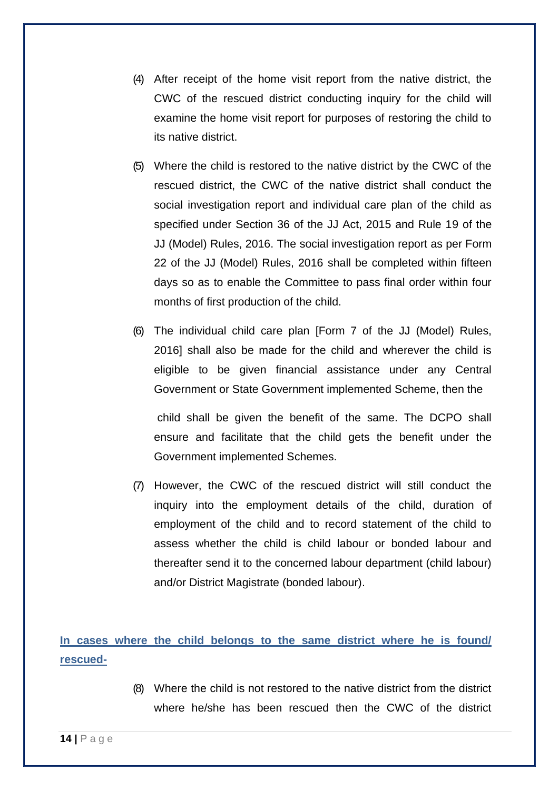- (4) After receipt of the home visit report from the native district, the CWC of the rescued district conducting inquiry for the child will examine the home visit report for purposes of restoring the child to its native district.
- (5) Where the child is restored to the native district by the CWC of the rescued district, the CWC of the native district shall conduct the social investigation report and individual care plan of the child as specified under Section 36 of the JJ Act, 2015 and Rule 19 of the JJ (Model) Rules, 2016. The social investigation report as per Form 22 of the JJ (Model) Rules, 2016 shall be completed within fifteen days so as to enable the Committee to pass final order within four months of first production of the child.
- (6) The individual child care plan [Form 7 of the JJ (Model) Rules, 2016] shall also be made for the child and wherever the child is eligible to be given financial assistance under any Central Government or State Government implemented Scheme, then the

child shall be given the benefit of the same. The DCPO shall ensure and facilitate that the child gets the benefit under the Government implemented Schemes.

(7) However, the CWC of the rescued district will still conduct the inquiry into the employment details of the child, duration of employment of the child and to record statement of the child to assess whether the child is child labour or bonded labour and thereafter send it to the concerned labour department (child labour) and/or District Magistrate (bonded labour).

**In cases where the child belongs to the same district where he is found/ rescued-**

> (8) Where the child is not restored to the native district from the district where he/she has been rescued then the CWC of the district

**14 |** P a g e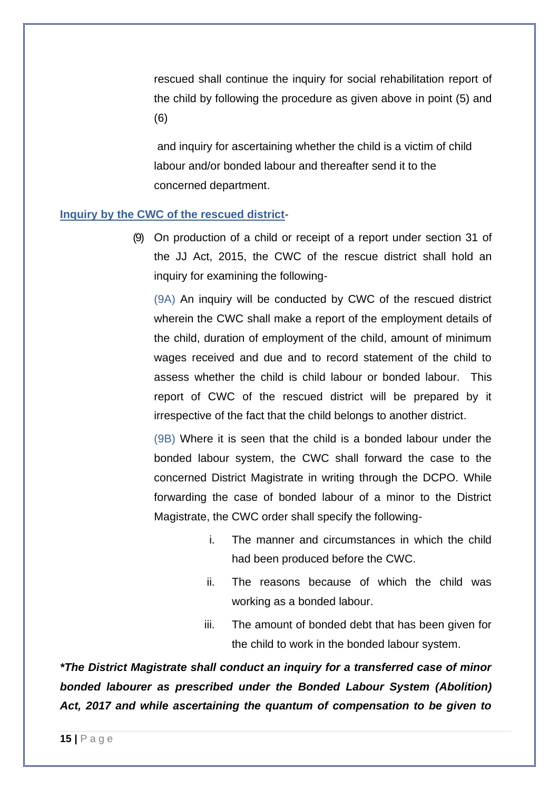rescued shall continue the inquiry for social rehabilitation report of the child by following the procedure as given above in point (5) and (6)

and inquiry for ascertaining whether the child is a victim of child labour and/or bonded labour and thereafter send it to the concerned department.

### **Inquiry by the CWC of the rescued district**-

(9) On production of a child or receipt of a report under section 31 of the JJ Act, 2015, the CWC of the rescue district shall hold an inquiry for examining the following-

(9A) An inquiry will be conducted by CWC of the rescued district wherein the CWC shall make a report of the employment details of the child, duration of employment of the child, amount of minimum wages received and due and to record statement of the child to assess whether the child is child labour or bonded labour. This report of CWC of the rescued district will be prepared by it irrespective of the fact that the child belongs to another district.

(9B) Where it is seen that the child is a bonded labour under the bonded labour system, the CWC shall forward the case to the concerned District Magistrate in writing through the DCPO. While forwarding the case of bonded labour of a minor to the District Magistrate, the CWC order shall specify the following-

- i. The manner and circumstances in which the child had been produced before the CWC.
- ii. The reasons because of which the child was working as a bonded labour.
- iii. The amount of bonded debt that has been given for the child to work in the bonded labour system.

*\*The District Magistrate shall conduct an inquiry for a transferred case of minor bonded labourer as prescribed under the Bonded Labour System (Abolition) Act, 2017 and while ascertaining the quantum of compensation to be given to*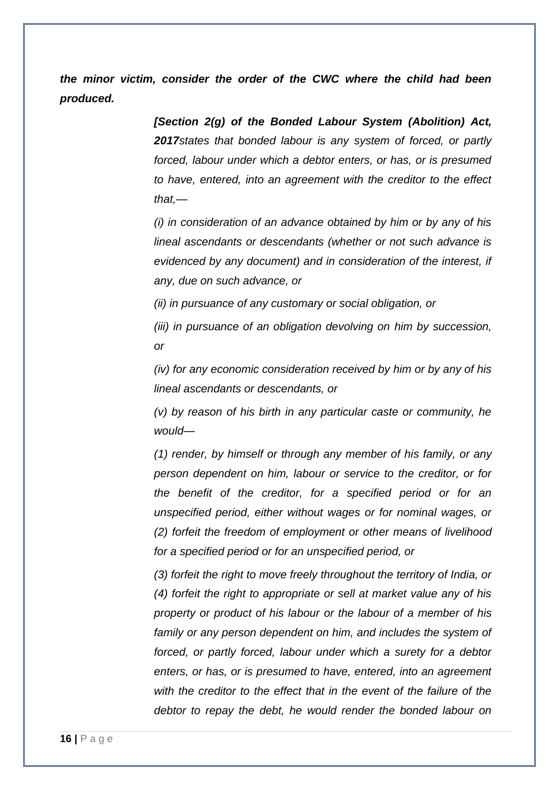*the minor victim, consider the order of the CWC where the child had been produced.* 

> *[Section 2(g) of the Bonded Labour System (Abolition) Act, 2017states that bonded labour is any system of forced, or partly forced, labour under which a debtor enters, or has, or is presumed to have, entered, into an agreement with the creditor to the effect that,—*

> *(i) in consideration of an advance obtained by him or by any of his lineal ascendants or descendants (whether or not such advance is evidenced by any document) and in consideration of the interest, if any, due on such advance, or*

*(ii) in pursuance of any customary or social obligation, or* 

*(iii) in pursuance of an obligation devolving on him by succession, or* 

*(iv) for any economic consideration received by him or by any of his lineal ascendants or descendants, or* 

*(v) by reason of his birth in any particular caste or community, he would—*

*(1) render, by himself or through any member of his family, or any person dependent on him, labour or service to the creditor, or for the benefit of the creditor, for a specified period or for an unspecified period, either without wages or for nominal wages, or (2) forfeit the freedom of employment or other means of livelihood for a specified period or for an unspecified period, or* 

*(3) forfeit the right to move freely throughout the territory of India, or (4) forfeit the right to appropriate or sell at market value any of his property or product of his labour or the labour of a member of his family or any person dependent on him, and includes the system of forced, or partly forced, labour under which a surety for a debtor enters, or has, or is presumed to have, entered, into an agreement with the creditor to the effect that in the event of the failure of the debtor to repay the debt, he would render the bonded labour on*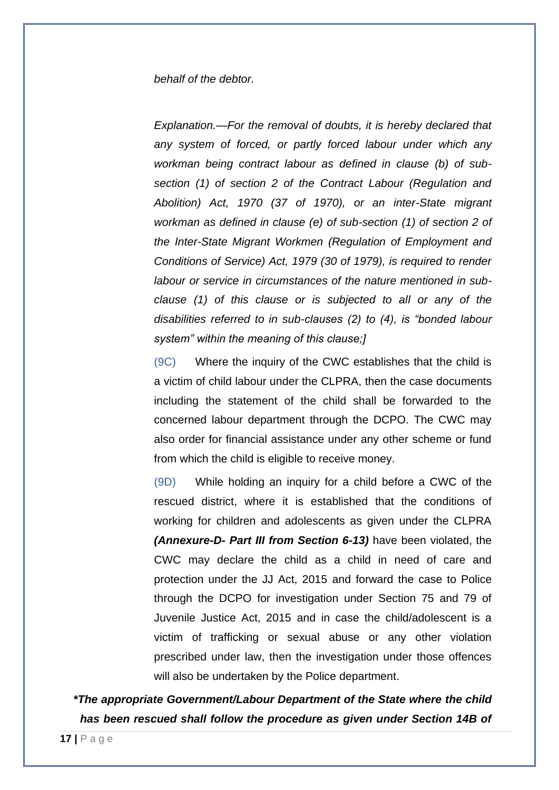### *behalf of the debtor.*

*Explanation.—For the removal of doubts, it is hereby declared that any system of forced, or partly forced labour under which any workman being contract labour as defined in clause (b) of subsection (1) of section 2 of the Contract Labour (Regulation and Abolition) Act, 1970 (37 of 1970), or an inter-State migrant workman as defined in clause (e) of sub-section (1) of section 2 of the Inter-State Migrant Workmen (Regulation of Employment and Conditions of Service) Act, 1979 (30 of 1979), is required to render labour or service in circumstances of the nature mentioned in subclause (1) of this clause or is subjected to all or any of the disabilities referred to in sub-clauses (2) to (4), is "bonded labour system" within the meaning of this clause;]*

(9C) Where the inquiry of the CWC establishes that the child is a victim of child labour under the CLPRA, then the case documents including the statement of the child shall be forwarded to the concerned labour department through the DCPO. The CWC may also order for financial assistance under any other scheme or fund from which the child is eligible to receive money.

(9D) While holding an inquiry for a child before a CWC of the rescued district, where it is established that the conditions of working for children and adolescents as given under the CLPRA *(Annexure-D- Part III from Section 6-13)* have been violated, the CWC may declare the child as a child in need of care and protection under the JJ Act, 2015 and forward the case to Police through the DCPO for investigation under Section 75 and 79 of Juvenile Justice Act, 2015 and in case the child/adolescent is a victim of trafficking or sexual abuse or any other violation prescribed under law, then the investigation under those offences will also be undertaken by the Police department.

*\*The appropriate Government/Labour Department of the State where the child has been rescued shall follow the procedure as given under Section 14B of*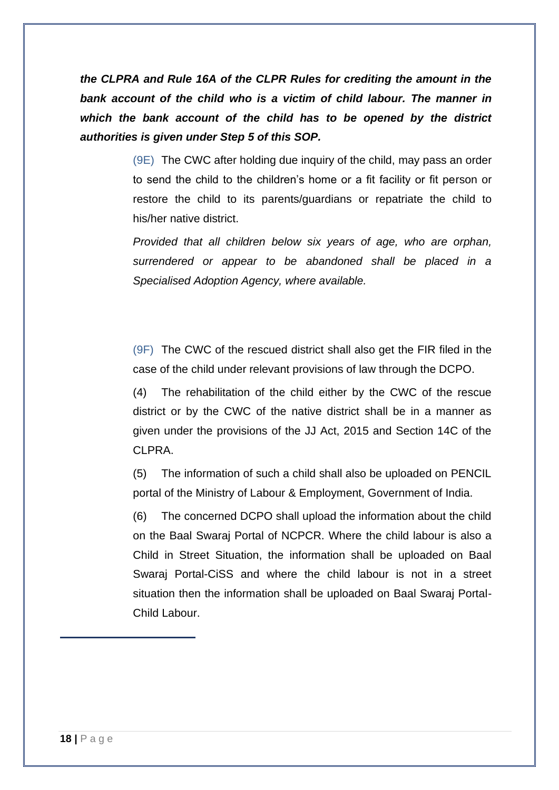*the CLPRA and Rule 16A of the CLPR Rules for crediting the amount in the bank account of the child who is a victim of child labour. The manner in which the bank account of the child has to be opened by the district authorities is given under Step 5 of this SOP.*

> (9E) The CWC after holding due inquiry of the child, may pass an order to send the child to the children's home or a fit facility or fit person or restore the child to its parents/guardians or repatriate the child to his/her native district.

> *Provided that all children below six years of age, who are orphan, surrendered or appear to be abandoned shall be placed in a Specialised Adoption Agency, where available.*

> (9F) The CWC of the rescued district shall also get the FIR filed in the case of the child under relevant provisions of law through the DCPO.

> (4) The rehabilitation of the child either by the CWC of the rescue district or by the CWC of the native district shall be in a manner as given under the provisions of the JJ Act, 2015 and Section 14C of the CLPRA.

> (5) The information of such a child shall also be uploaded on PENCIL portal of the Ministry of Labour & Employment, Government of India.

> (6) The concerned DCPO shall upload the information about the child on the Baal Swaraj Portal of NCPCR. Where the child labour is also a Child in Street Situation, the information shall be uploaded on Baal Swaraj Portal-CiSS and where the child labour is not in a street situation then the information shall be uploaded on Baal Swaraj Portal-Child Labour.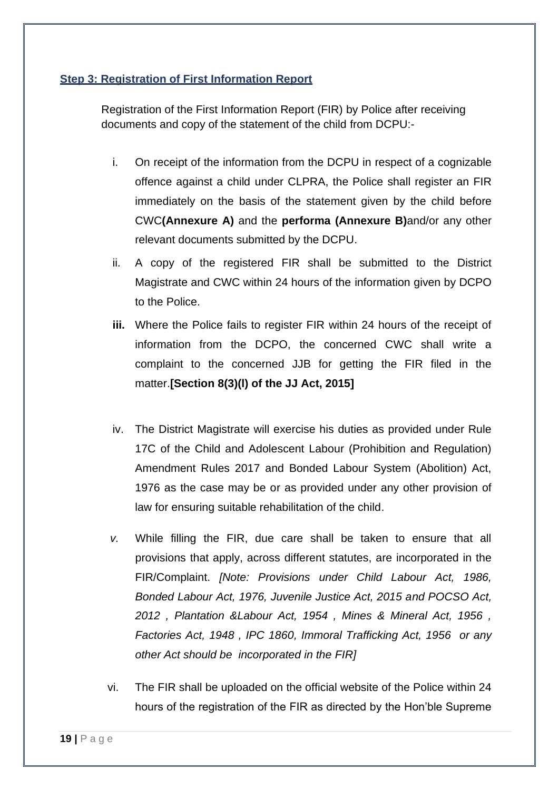### **Step 3: Registration of First Information Report**

Registration of the First Information Report (FIR) by Police after receiving documents and copy of the statement of the child from DCPU:-

- i. On receipt of the information from the DCPU in respect of a cognizable offence against a child under CLPRA, the Police shall register an FIR immediately on the basis of the statement given by the child before CWC**(Annexure A)** and the **performa (Annexure B)**and/or any other relevant documents submitted by the DCPU.
- ii. A copy of the registered FIR shall be submitted to the District Magistrate and CWC within 24 hours of the information given by DCPO to the Police.
- **iii.** Where the Police fails to register FIR within 24 hours of the receipt of information from the DCPO, the concerned CWC shall write a complaint to the concerned JJB for getting the FIR filed in the matter.**[Section 8(3)(l) of the JJ Act, 2015]**
- iv. The District Magistrate will exercise his duties as provided under Rule 17C of the Child and Adolescent Labour (Prohibition and Regulation) Amendment Rules 2017 and Bonded Labour System (Abolition) Act, 1976 as the case may be or as provided under any other provision of law for ensuring suitable rehabilitation of the child.
- *v.* While filling the FIR, due care shall be taken to ensure that all provisions that apply, across different statutes, are incorporated in the FIR/Complaint. *[Note: Provisions under Child Labour Act, 1986, Bonded Labour Act, 1976, Juvenile Justice Act, 2015 and POCSO Act, 2012 , Plantation &Labour Act, 1954 , Mines & Mineral Act, 1956 , Factories Act, 1948 , IPC 1860, Immoral Trafficking Act, 1956 or any other Act should be incorporated in the FIR]*
- vi. The FIR shall be uploaded on the official website of the Police within 24 hours of the registration of the FIR as directed by the Hon'ble Supreme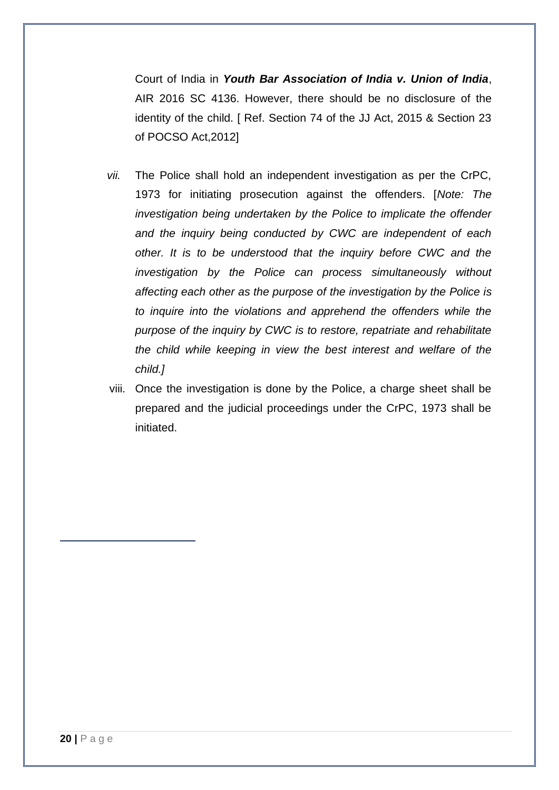Court of India in *Youth Bar Association of India v. Union of India*, AIR 2016 SC 4136. However, there should be no disclosure of the identity of the child. [ Ref. Section 74 of the JJ Act, 2015 & Section 23 of POCSO Act,2012]

- *vii.* The Police shall hold an independent investigation as per the CrPC, 1973 for initiating prosecution against the offenders. [*Note: The investigation being undertaken by the Police to implicate the offender and the inquiry being conducted by CWC are independent of each other. It is to be understood that the inquiry before CWC and the investigation by the Police can process simultaneously without affecting each other as the purpose of the investigation by the Police is to inquire into the violations and apprehend the offenders while the purpose of the inquiry by CWC is to restore, repatriate and rehabilitate the child while keeping in view the best interest and welfare of the child.]*
- viii. Once the investigation is done by the Police, a charge sheet shall be prepared and the judicial proceedings under the CrPC, 1973 shall be initiated.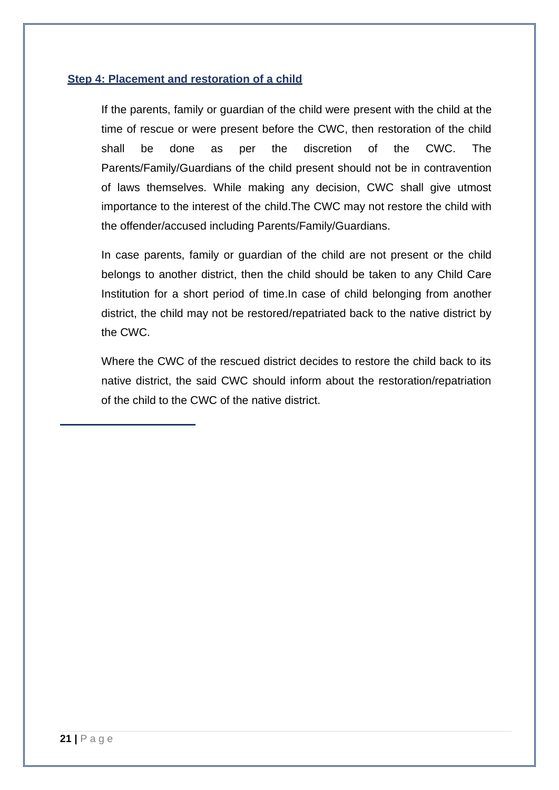### **Step 4: Placement and restoration of a child**

If the parents, family or guardian of the child were present with the child at the time of rescue or were present before the CWC, then restoration of the child shall be done as per the discretion of the CWC. The Parents/Family/Guardians of the child present should not be in contravention of laws themselves. While making any decision, CWC shall give utmost importance to the interest of the child.The CWC may not restore the child with the offender/accused including Parents/Family/Guardians.

In case parents, family or guardian of the child are not present or the child belongs to another district, then the child should be taken to any Child Care Institution for a short period of time.In case of child belonging from another district, the child may not be restored/repatriated back to the native district by the CWC.

Where the CWC of the rescued district decides to restore the child back to its native district, the said CWC should inform about the restoration/repatriation of the child to the CWC of the native district.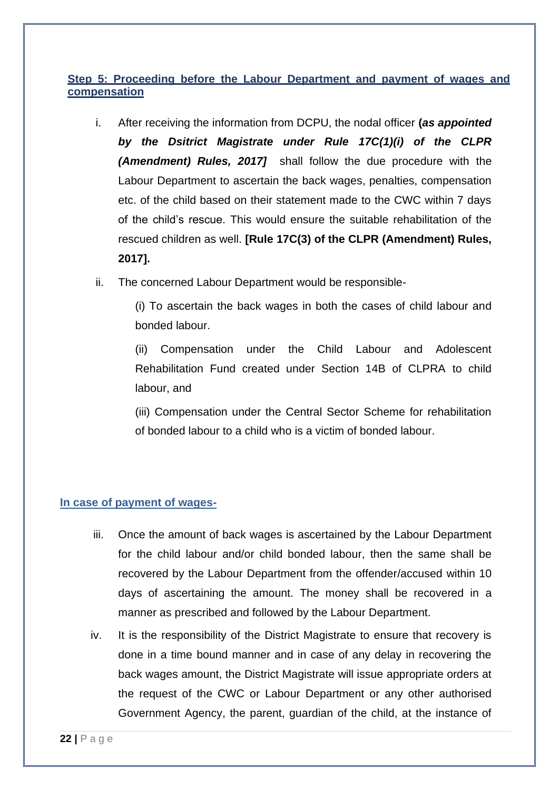### **Step 5: Proceeding before the Labour Department and payment of wages and compensation**

- i. After receiving the information from DCPU, the nodal officer **(***as appointed by the Dsitrict Magistrate under Rule 17C(1)(i) of the CLPR (Amendment) Rules, 2017]* shall follow the due procedure with the Labour Department to ascertain the back wages, penalties, compensation etc. of the child based on their statement made to the CWC within 7 days of the child's rescue. This would ensure the suitable rehabilitation of the rescued children as well. **[Rule 17C(3) of the CLPR (Amendment) Rules, 2017].**
- ii. The concerned Labour Department would be responsible-

(i) To ascertain the back wages in both the cases of child labour and bonded labour.

(ii) Compensation under the Child Labour and Adolescent Rehabilitation Fund created under Section 14B of CLPRA to child labour, and

(iii) Compensation under the Central Sector Scheme for rehabilitation of bonded labour to a child who is a victim of bonded labour.

#### **In case of payment of wages-**

- iii. Once the amount of back wages is ascertained by the Labour Department for the child labour and/or child bonded labour, then the same shall be recovered by the Labour Department from the offender/accused within 10 days of ascertaining the amount. The money shall be recovered in a manner as prescribed and followed by the Labour Department.
- iv. It is the responsibility of the District Magistrate to ensure that recovery is done in a time bound manner and in case of any delay in recovering the back wages amount, the District Magistrate will issue appropriate orders at the request of the CWC or Labour Department or any other authorised Government Agency, the parent, guardian of the child, at the instance of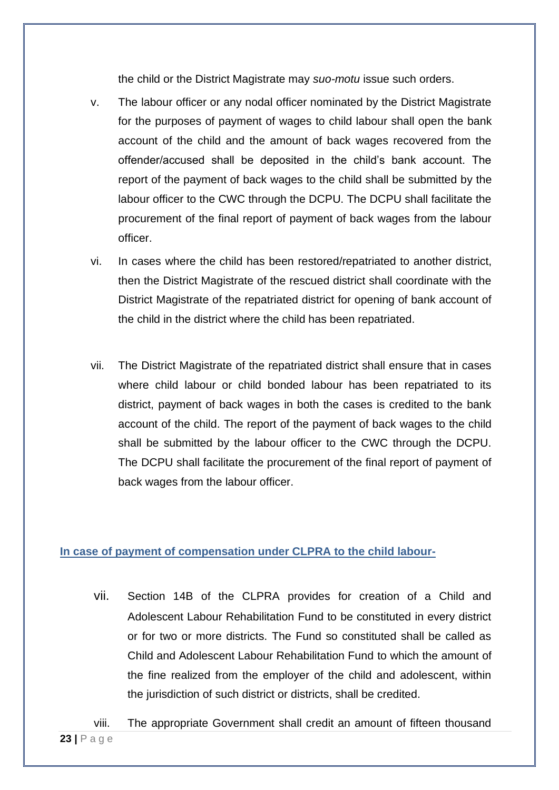the child or the District Magistrate may *suo-motu* issue such orders.

- v. The labour officer or any nodal officer nominated by the District Magistrate for the purposes of payment of wages to child labour shall open the bank account of the child and the amount of back wages recovered from the offender/accused shall be deposited in the child's bank account. The report of the payment of back wages to the child shall be submitted by the labour officer to the CWC through the DCPU. The DCPU shall facilitate the procurement of the final report of payment of back wages from the labour officer.
- vi. In cases where the child has been restored/repatriated to another district, then the District Magistrate of the rescued district shall coordinate with the District Magistrate of the repatriated district for opening of bank account of the child in the district where the child has been repatriated.
- vii. The District Magistrate of the repatriated district shall ensure that in cases where child labour or child bonded labour has been repatriated to its district, payment of back wages in both the cases is credited to the bank account of the child. The report of the payment of back wages to the child shall be submitted by the labour officer to the CWC through the DCPU. The DCPU shall facilitate the procurement of the final report of payment of back wages from the labour officer.

### **In case of payment of compensation under CLPRA to the child labour-**

- vii. Section 14B of the CLPRA provides for creation of a Child and Adolescent Labour Rehabilitation Fund to be constituted in every district or for two or more districts. The Fund so constituted shall be called as Child and Adolescent Labour Rehabilitation Fund to which the amount of the fine realized from the employer of the child and adolescent, within the jurisdiction of such district or districts, shall be credited.
- **23 |** P a g e viii. The appropriate Government shall credit an amount of fifteen thousand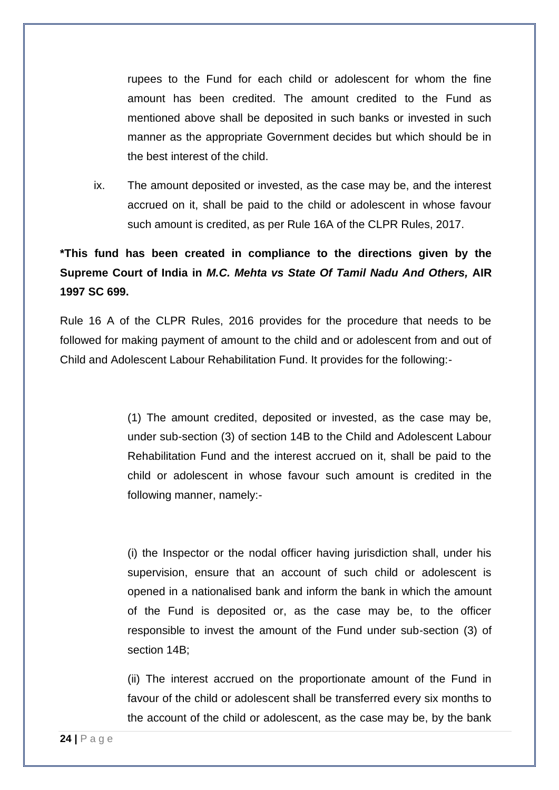rupees to the Fund for each child or adolescent for whom the fine amount has been credited. The amount credited to the Fund as mentioned above shall be deposited in such banks or invested in such manner as the appropriate Government decides but which should be in the best interest of the child.

ix. The amount deposited or invested, as the case may be, and the interest accrued on it, shall be paid to the child or adolescent in whose favour such amount is credited, as per Rule 16A of the CLPR Rules, 2017.

### **\*This fund has been created in compliance to the directions given by the Supreme Court of India in** *M.C. Mehta vs State Of Tamil Nadu And Others,* **AIR 1997 SC 699.**

Rule 16 A of the CLPR Rules, 2016 provides for the procedure that needs to be followed for making payment of amount to the child and or adolescent from and out of Child and Adolescent Labour Rehabilitation Fund. It provides for the following:-

> (1) The amount credited, deposited or invested, as the case may be, under sub-section (3) of section 14B to the Child and Adolescent Labour Rehabilitation Fund and the interest accrued on it, shall be paid to the child or adolescent in whose favour such amount is credited in the following manner, namely:-

> (i) the Inspector or the nodal officer having jurisdiction shall, under his supervision, ensure that an account of such child or adolescent is opened in a nationalised bank and inform the bank in which the amount of the Fund is deposited or, as the case may be, to the officer responsible to invest the amount of the Fund under sub-section (3) of section 14B;

> (ii) The interest accrued on the proportionate amount of the Fund in favour of the child or adolescent shall be transferred every six months to the account of the child or adolescent, as the case may be, by the bank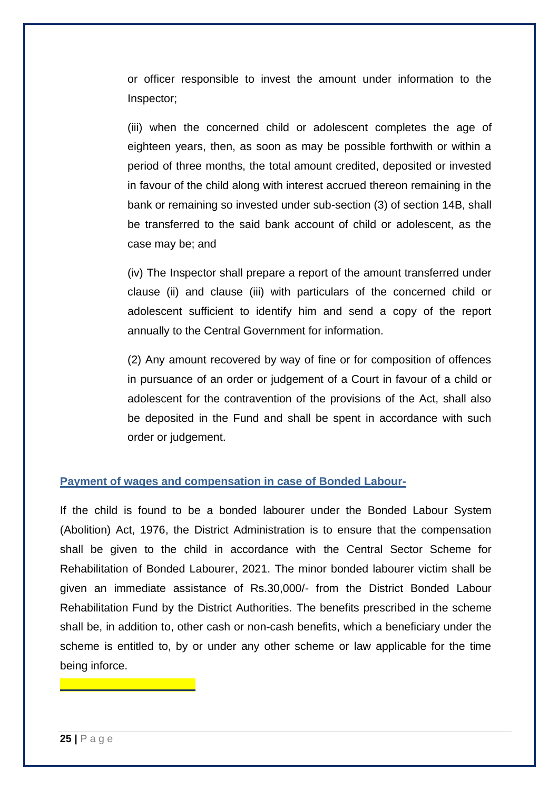or officer responsible to invest the amount under information to the Inspector;

(iii) when the concerned child or adolescent completes the age of eighteen years, then, as soon as may be possible forthwith or within a period of three months, the total amount credited, deposited or invested in favour of the child along with interest accrued thereon remaining in the bank or remaining so invested under sub-section (3) of section 14B, shall be transferred to the said bank account of child or adolescent, as the case may be; and

(iv) The Inspector shall prepare a report of the amount transferred under clause (ii) and clause (iii) with particulars of the concerned child or adolescent sufficient to identify him and send a copy of the report annually to the Central Government for information.

(2) Any amount recovered by way of fine or for composition of offences in pursuance of an order or judgement of a Court in favour of a child or adolescent for the contravention of the provisions of the Act, shall also be deposited in the Fund and shall be spent in accordance with such order or judgement.

### **Payment of wages and compensation in case of Bonded Labour-**

If the child is found to be a bonded labourer under the Bonded Labour System (Abolition) Act, 1976, the District Administration is to ensure that the compensation shall be given to the child in accordance with the Central Sector Scheme for Rehabilitation of Bonded Labourer, 2021. The minor bonded labourer victim shall be given an immediate assistance of Rs.30,000/- from the District Bonded Labour Rehabilitation Fund by the District Authorities. The benefits prescribed in the scheme shall be, in addition to, other cash or non-cash benefits, which a beneficiary under the scheme is entitled to, by or under any other scheme or law applicable for the time being inforce.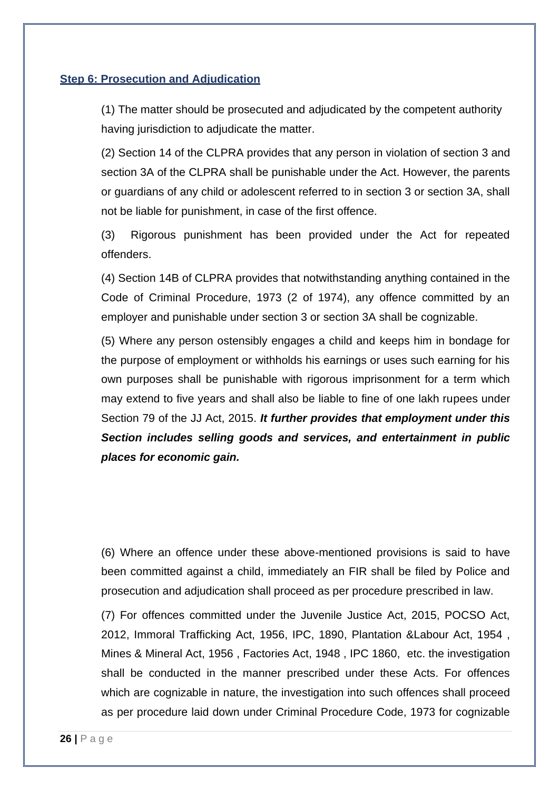#### **Step 6: Prosecution and Adjudication**

(1) The matter should be prosecuted and adjudicated by the competent authority having jurisdiction to adjudicate the matter.

(2) Section 14 of the CLPRA provides that any person in violation of section 3 and section 3A of the CLPRA shall be punishable under the Act. However, the parents or guardians of any child or adolescent referred to in section 3 or section 3A, shall not be liable for punishment, in case of the first offence.

(3) Rigorous punishment has been provided under the Act for repeated offenders.

(4) Section 14B of CLPRA provides that notwithstanding anything contained in the Code of Criminal Procedure, 1973 (2 of 1974), any offence committed by an employer and punishable under section 3 or section 3A shall be cognizable.

(5) Where any person ostensibly engages a child and keeps him in bondage for the purpose of employment or withholds his earnings or uses such earning for his own purposes shall be punishable with rigorous imprisonment for a term which may extend to five years and shall also be liable to fine of one lakh rupees under Section 79 of the JJ Act, 2015. *It further provides that employment under this Section includes selling goods and services, and entertainment in public places for economic gain.* 

(6) Where an offence under these above-mentioned provisions is said to have been committed against a child, immediately an FIR shall be filed by Police and prosecution and adjudication shall proceed as per procedure prescribed in law.

(7) For offences committed under the Juvenile Justice Act, 2015, POCSO Act, 2012, Immoral Trafficking Act, 1956, IPC, 1890, Plantation &Labour Act, 1954 , Mines & Mineral Act, 1956 , Factories Act, 1948 , IPC 1860, etc. the investigation shall be conducted in the manner prescribed under these Acts. For offences which are cognizable in nature, the investigation into such offences shall proceed as per procedure laid down under Criminal Procedure Code, 1973 for cognizable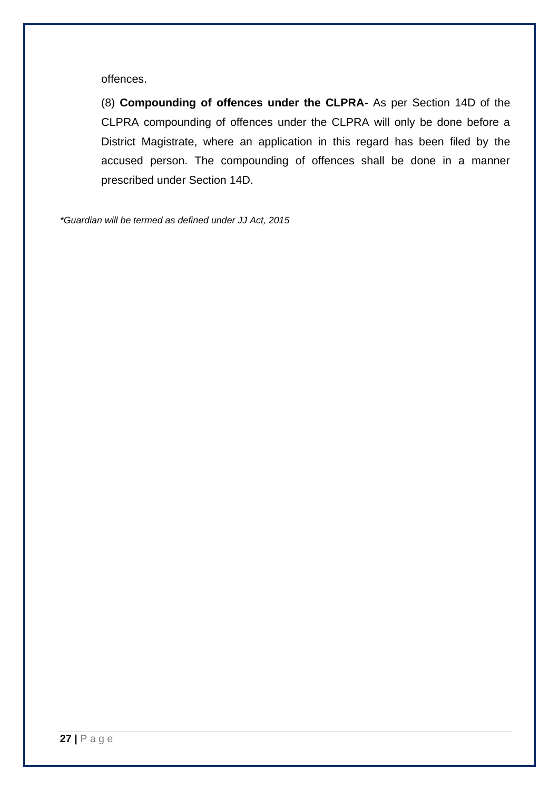offences.

(8) **Compounding of offences under the CLPRA-** As per Section 14D of the CLPRA compounding of offences under the CLPRA will only be done before a District Magistrate, where an application in this regard has been filed by the accused person. The compounding of offences shall be done in a manner prescribed under Section 14D.

*\*Guardian will be termed as defined under JJ Act, 2015*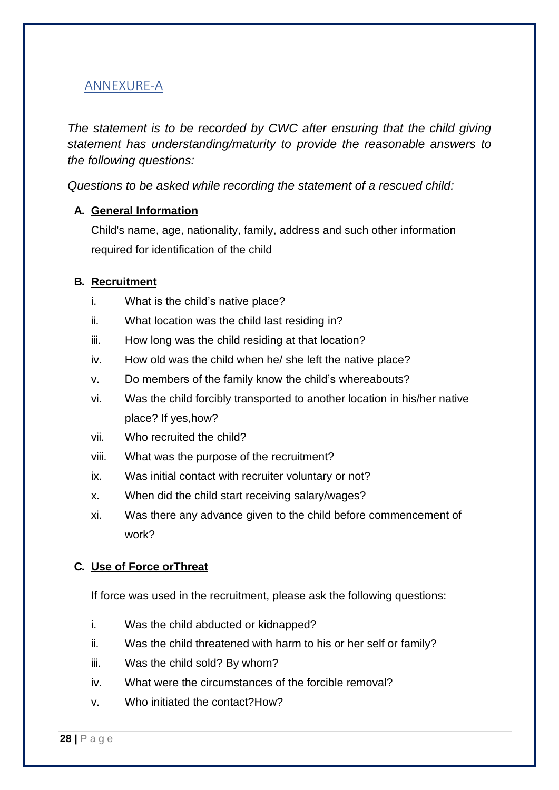### ANNEXURE-A

*The statement is to be recorded by CWC after ensuring that the child giving statement has understanding/maturity to provide the reasonable answers to the following questions:*

*Questions to be asked while recording the statement of a rescued child:*

### **A. General Information**

Child's name, age, nationality, family, address and such other information required for identification of the child

### **B. Recruitment**

- i. What is the child's native place?
- ii. What location was the child last residing in?
- iii. How long was the child residing at that location?
- iv. How old was the child when he/ she left the native place?
- v. Do members of the family know the child's whereabouts?
- vi. Was the child forcibly transported to another location in his/her native place? If yes,how?
- vii. Who recruited the child?
- viii. What was the purpose of the recruitment?
- ix. Was initial contact with recruiter voluntary or not?
- x. When did the child start receiving salary/wages?
- xi. Was there any advance given to the child before commencement of work?

### **C. Use of Force orThreat**

If force was used in the recruitment, please ask the following questions:

- i. Was the child abducted or kidnapped?
- ii. Was the child threatened with harm to his or her self or family?
- iii. Was the child sold? By whom?
- iv. What were the circumstances of the forcible removal?
- v. Who initiated the contact?How?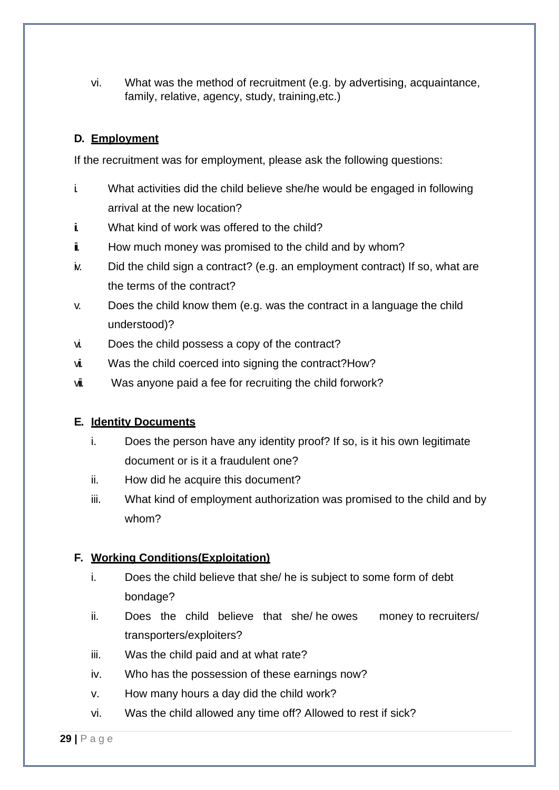vi. What was the method of recruitment (e.g. by advertising, acquaintance, family, relative, agency, study, training,etc.)

### **D. Employment**

If the recruitment was for employment, please ask the following questions:

- i. What activities did the child believe she/he would be engaged in following arrival at the new location?
- i. What kind of work was offered to the child?
- **i** How much money was promised to the child and by whom?
- iv. Did the child sign a contract? (e.g. an employment contract) If so, what are the terms of the contract?
- v. Does the child know them (e.g. was the contract in a language the child understood)?
- vi. Does the child possess a copy of the contract?
- vi. Was the child coerced into signing the contract?How?
- vii. Was anyone paid a fee for recruiting the child forwork?

#### **E. Identity Documents**

- i. Does the person have any identity proof? If so, is it his own legitimate document or is it a fraudulent one?
- ii. How did he acquire this document?
- iii. What kind of employment authorization was promised to the child and by whom?

### **F. Working Conditions(Exploitation)**

- i. Does the child believe that she/ he is subject to some form of debt bondage?
- ii. Does the child believe that she/ he owes money to recruiters/ transporters/exploiters?
- iii. Was the child paid and at what rate?
- iv. Who has the possession of these earnings now?
- v. How many hours a day did the child work?
- vi. Was the child allowed any time off? Allowed to rest if sick?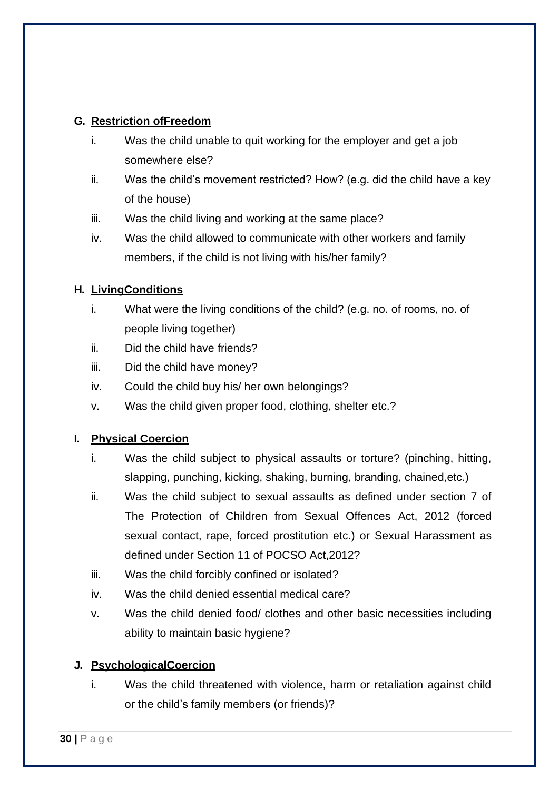### **G. Restriction ofFreedom**

- i. Was the child unable to quit working for the employer and get a job somewhere else?
- ii. Was the child's movement restricted? How? (e.g. did the child have a key of the house)
- iii. Was the child living and working at the same place?
- iv. Was the child allowed to communicate with other workers and family members, if the child is not living with his/her family?

### **H. LivingConditions**

- i. What were the living conditions of the child? (e.g. no. of rooms, no. of people living together)
- ii. Did the child have friends?
- iii. Did the child have money?
- iv. Could the child buy his/ her own belongings?
- v. Was the child given proper food, clothing, shelter etc.?

### **I. Physical Coercion**

- i. Was the child subject to physical assaults or torture? (pinching, hitting, slapping, punching, kicking, shaking, burning, branding, chained,etc.)
- ii. Was the child subject to sexual assaults as defined under section 7 of The Protection of Children from Sexual Offences Act, 2012 (forced sexual contact, rape, forced prostitution etc.) or Sexual Harassment as defined under Section 11 of POCSO Act,2012?
- iii. Was the child forcibly confined or isolated?
- iv. Was the child denied essential medical care?
- v. Was the child denied food/ clothes and other basic necessities including ability to maintain basic hygiene?

### **J. PsychologicalCoercion**

i. Was the child threatened with violence, harm or retaliation against child or the child's family members (or friends)?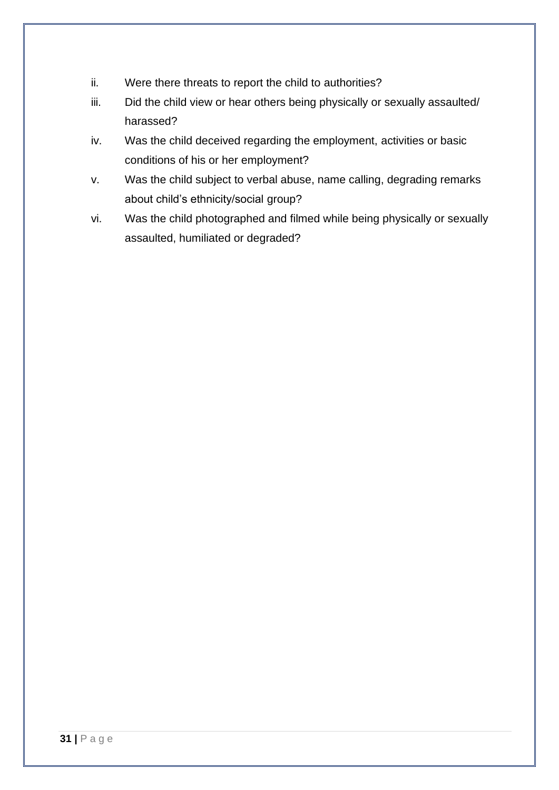- ii. Were there threats to report the child to authorities?
- iii. Did the child view or hear others being physically or sexually assaulted/ harassed?
- iv. Was the child deceived regarding the employment, activities or basic conditions of his or her employment?
- v. Was the child subject to verbal abuse, name calling, degrading remarks about child's ethnicity/social group?
- vi. Was the child photographed and filmed while being physically or sexually assaulted, humiliated or degraded?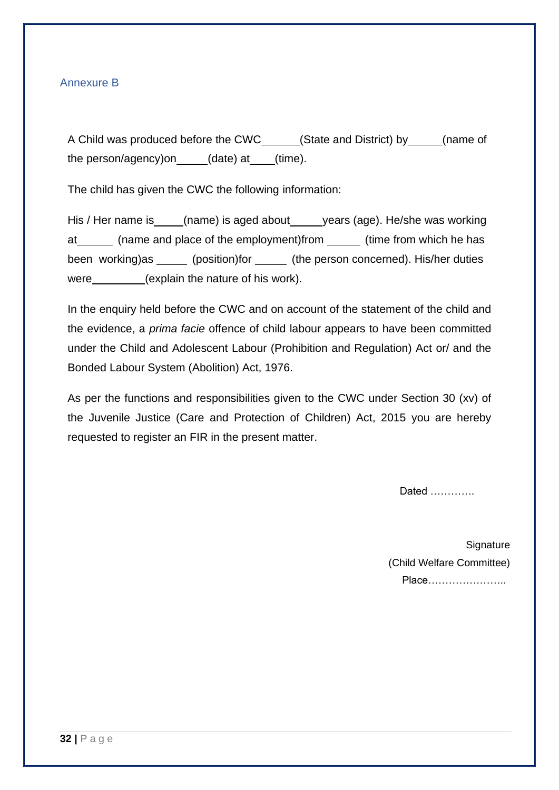### Annexure B

A Child was produced before the CWC (State and District) by \_\_\_\_\_(name of the person/agency)on (date) at (time).

The child has given the CWC the following information:

His / Her name is (name) is aged about years (age). He/she was working at \_\_\_\_\_\_\_ (name and place of the employment)from \_\_\_\_\_\_ (time from which he has been working)as \_\_\_\_\_ (position)for \_\_\_\_\_ (the person concerned). His/her duties were \_\_\_\_\_\_\_\_(explain the nature of his work).

In the enquiry held before the CWC and on account of the statement of the child and the evidence, a *prima facie* offence of child labour appears to have been committed under the Child and Adolescent Labour (Prohibition and Regulation) Act or/ and the Bonded Labour System (Abolition) Act, 1976.

As per the functions and responsibilities given to the CWC under Section 30 (xv) of the Juvenile Justice (Care and Protection of Children) Act, 2015 you are hereby requested to register an FIR in the present matter.

Dated ………….

**Signature** (Child Welfare Committee) Place…………………..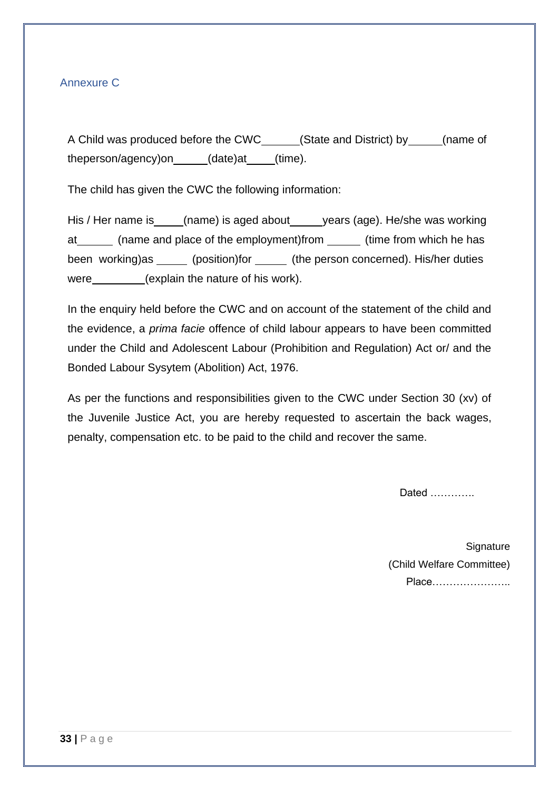### Annexure C

A Child was produced before the CWC (State and District) by \_\_\_\_\_(name of theperson/agency)on (date)at (time).

The child has given the CWC the following information:

His / Her name is (name) is aged about years (age). He/she was working at \_\_\_\_\_\_\_ (name and place of the employment)from \_\_\_\_\_\_ (time from which he has been working)as \_\_\_\_\_ (position)for \_\_\_\_\_ (the person concerned). His/her duties were \_\_\_\_\_\_\_\_(explain the nature of his work).

In the enquiry held before the CWC and on account of the statement of the child and the evidence, a *prima facie* offence of child labour appears to have been committed under the Child and Adolescent Labour (Prohibition and Regulation) Act or/ and the Bonded Labour Sysytem (Abolition) Act, 1976.

As per the functions and responsibilities given to the CWC under Section 30 (xv) of the Juvenile Justice Act, you are hereby requested to ascertain the back wages, penalty, compensation etc. to be paid to the child and recover the same.

Dated ………….

**Signature** (Child Welfare Committee) Place…………………..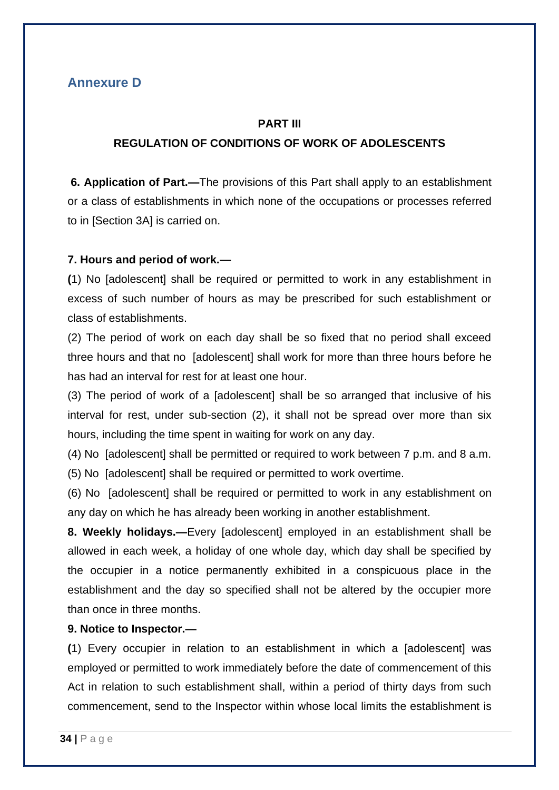### **Annexure D**

#### **PART III**

### **REGULATION OF CONDITIONS OF WORK OF ADOLESCENTS**

**6. Application of Part.—**The provisions of this Part shall apply to an establishment or a class of establishments in which none of the occupations or processes referred to in [Section 3A] is carried on.

### **7. Hours and period of work.—**

**(**1) No [adolescent] shall be required or permitted to work in any establishment in excess of such number of hours as may be prescribed for such establishment or class of establishments.

(2) The period of work on each day shall be so fixed that no period shall exceed three hours and that no [adolescent] shall work for more than three hours before he has had an interval for rest for at least one hour.

(3) The period of work of a [adolescent] shall be so arranged that inclusive of his interval for rest, under sub-section (2), it shall not be spread over more than six hours, including the time spent in waiting for work on any day.

(4) No [adolescent] shall be permitted or required to work between 7 p.m. and 8 a.m.

(5) No [adolescent] shall be required or permitted to work overtime.

(6) No [adolescent] shall be required or permitted to work in any establishment on any day on which he has already been working in another establishment.

**8. Weekly holidays.—**Every [adolescent] employed in an establishment shall be allowed in each week, a holiday of one whole day, which day shall be specified by the occupier in a notice permanently exhibited in a conspicuous place in the establishment and the day so specified shall not be altered by the occupier more than once in three months.

#### **9. Notice to Inspector.—**

**(**1) Every occupier in relation to an establishment in which a [adolescent] was employed or permitted to work immediately before the date of commencement of this Act in relation to such establishment shall, within a period of thirty days from such commencement, send to the Inspector within whose local limits the establishment is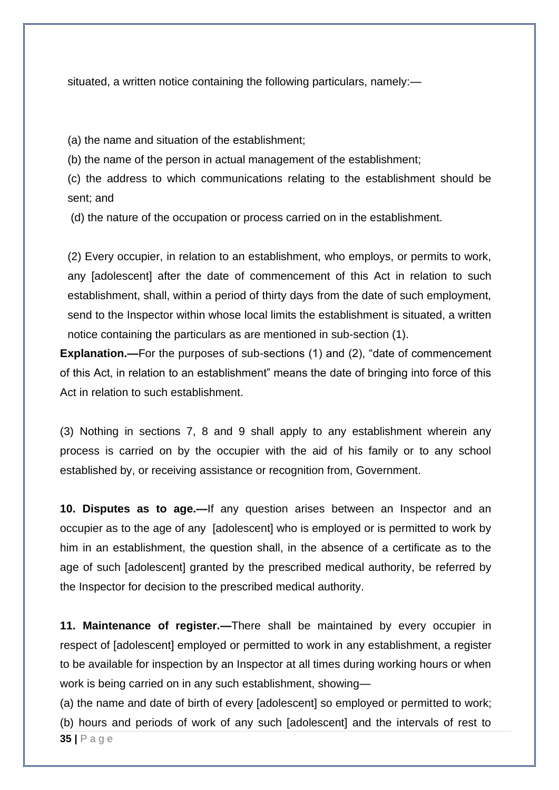situated, a written notice containing the following particulars, namely:—

(a) the name and situation of the establishment;

(b) the name of the person in actual management of the establishment;

(c) the address to which communications relating to the establishment should be sent; and

(d) the nature of the occupation or process carried on in the establishment.

(2) Every occupier, in relation to an establishment, who employs, or permits to work, any [adolescent] after the date of commencement of this Act in relation to such establishment, shall, within a period of thirty days from the date of such employment, send to the Inspector within whose local limits the establishment is situated, a written notice containing the particulars as are mentioned in sub-section (1).

**Explanation.—**For the purposes of sub-sections (1) and (2), "date of commencement of this Act, in relation to an establishment" means the date of bringing into force of this Act in relation to such establishment.

(3) Nothing in sections 7, 8 and 9 shall apply to any establishment wherein any process is carried on by the occupier with the aid of his family or to any school established by, or receiving assistance or recognition from, Government.

**10. Disputes as to age.—**If any question arises between an Inspector and an occupier as to the age of any [adolescent] who is employed or is permitted to work by him in an establishment, the question shall, in the absence of a certificate as to the age of such [adolescent] granted by the prescribed medical authority, be referred by the Inspector for decision to the prescribed medical authority.

**11. Maintenance of register.—**There shall be maintained by every occupier in respect of [adolescent] employed or permitted to work in any establishment, a register to be available for inspection by an Inspector at all times during working hours or when work is being carried on in any such establishment, showing—

**35 |** P a g e (a) the name and date of birth of every [adolescent] so employed or permitted to work; (b) hours and periods of work of any such [adolescent] and the intervals of rest to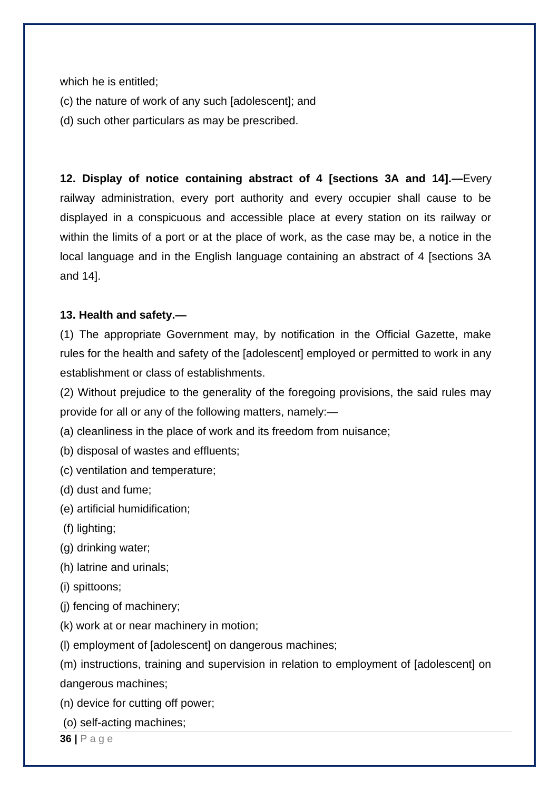which he is entitled;

- (c) the nature of work of any such [adolescent]; and
- (d) such other particulars as may be prescribed.

**12. Display of notice containing abstract of 4 [sections 3A and 14].—**Every railway administration, every port authority and every occupier shall cause to be displayed in a conspicuous and accessible place at every station on its railway or within the limits of a port or at the place of work, as the case may be, a notice in the local language and in the English language containing an abstract of 4 [sections 3A and 14].

### **13. Health and safety.—**

(1) The appropriate Government may, by notification in the Official Gazette, make rules for the health and safety of the [adolescent] employed or permitted to work in any establishment or class of establishments.

(2) Without prejudice to the generality of the foregoing provisions, the said rules may provide for all or any of the following matters, namely:—

(a) cleanliness in the place of work and its freedom from nuisance;

(b) disposal of wastes and effluents;

(c) ventilation and temperature;

(d) dust and fume;

(e) artificial humidification;

(f) lighting;

(g) drinking water;

(h) latrine and urinals;

(i) spittoons;

(j) fencing of machinery;

(k) work at or near machinery in motion;

(l) employment of [adolescent] on dangerous machines;

(m) instructions, training and supervision in relation to employment of [adolescent] on dangerous machines;

- (n) device for cutting off power;
- (o) self-acting machines;

**36 |** P a g e